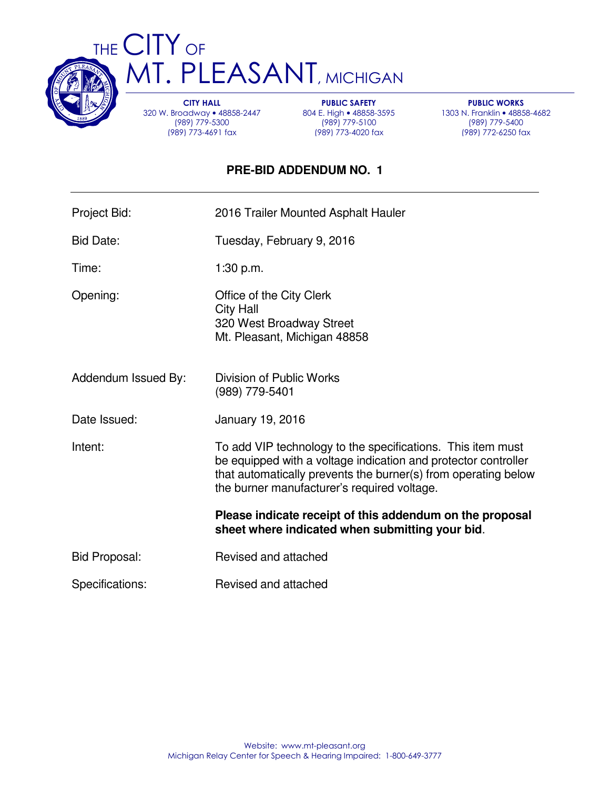

THE CITY OF **MT. PLEASANT, MICHIGAN** 

> CITY HALL 320 W. Broadway • 48858-2447 (989) 779-5300 (989) 773-4691 fax

PUBLIC SAFETY 804 E. High • 48858-3595 (989) 779-5100 (989) 773-4020 fax

PUBLIC WORKS 1303 N. Franklin • 48858-4682 (989) 779-5400 (989) 772-6250 fax

# **PRE-BID ADDENDUM NO. 1**

| Project Bid:         | 2016 Trailer Mounted Asphalt Hauler                                                                                                                                                                                                            |
|----------------------|------------------------------------------------------------------------------------------------------------------------------------------------------------------------------------------------------------------------------------------------|
| <b>Bid Date:</b>     | Tuesday, February 9, 2016                                                                                                                                                                                                                      |
| Time:                | 1:30 p.m.                                                                                                                                                                                                                                      |
| Opening:             | Office of the City Clerk<br><b>City Hall</b><br>320 West Broadway Street<br>Mt. Pleasant, Michigan 48858                                                                                                                                       |
| Addendum Issued By:  | Division of Public Works<br>(989) 779-5401                                                                                                                                                                                                     |
| Date Issued:         | January 19, 2016                                                                                                                                                                                                                               |
| Intent:              | To add VIP technology to the specifications. This item must<br>be equipped with a voltage indication and protector controller<br>that automatically prevents the burner(s) from operating below<br>the burner manufacturer's required voltage. |
|                      | Please indicate receipt of this addendum on the proposal<br>sheet where indicated when submitting your bid.                                                                                                                                    |
| <b>Bid Proposal:</b> | Revised and attached                                                                                                                                                                                                                           |
| Specifications:      | Revised and attached                                                                                                                                                                                                                           |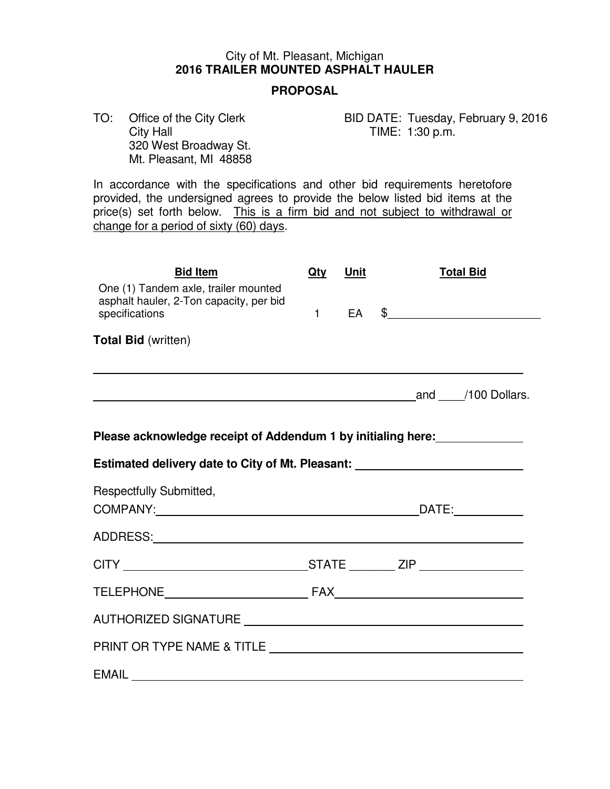## City of Mt. Pleasant, Michigan **2016 TRAILER MOUNTED ASPHALT HAULER**

#### **PROPOSAL**

 320 West Broadway St. Mt. Pleasant, MI 48858

TO: Office of the City Clerk BID DATE: Tuesday, February 9, 2016<br>City Hall Gity Hall TIME: 1:30 p.m. TIME:  $1:30$  p.m.

 In accordance with the specifications and other bid requirements heretofore provided, the undersigned agrees to provide the below listed bid items at the price(s) set forth below. This is a firm bid and not subject to withdrawal or change for a period of sixty (60) days.

| <b>Bid Item</b>                                                                                   | Qty | <u>Unit</u> | <b>Total Bid</b> |  |                           |
|---------------------------------------------------------------------------------------------------|-----|-------------|------------------|--|---------------------------|
| One (1) Tandem axle, trailer mounted<br>asphalt hauler, 2-Ton capacity, per bid<br>specifications | 1   |             |                  |  |                           |
| <b>Total Bid (written)</b>                                                                        |     |             |                  |  |                           |
| and 100 Dollars.                                                                                  |     |             |                  |  |                           |
| Please acknowledge receipt of Addendum 1 by initialing here:                                      |     |             |                  |  |                           |
| Estimated delivery date to City of Mt. Pleasant: _______________________________                  |     |             |                  |  |                           |
| Respectfully Submitted,                                                                           |     |             |                  |  | $\overline{\text{DATE}}:$ |
|                                                                                                   |     |             |                  |  |                           |
|                                                                                                   |     |             |                  |  |                           |
|                                                                                                   |     |             |                  |  |                           |
|                                                                                                   |     |             |                  |  |                           |
|                                                                                                   |     |             |                  |  |                           |
| EMAIL                                                                                             |     |             |                  |  |                           |